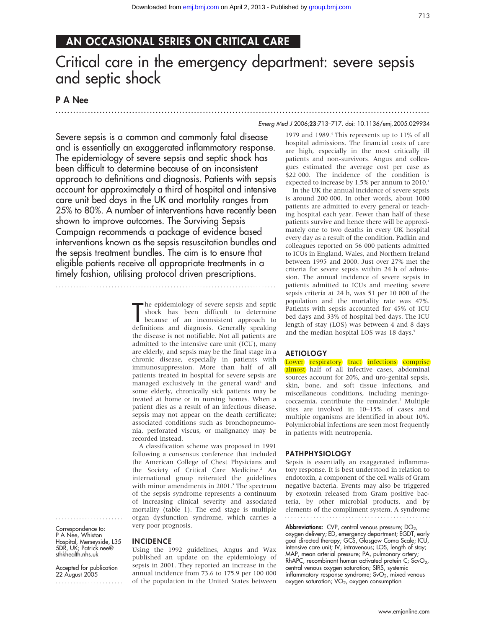## AN OCCASIONAL SERIES ON CRITICAL CARE

# Critical care in the emergency department: severe sepsis and septic shock

.............................................................................................................................. .

## P A Nee

#### Emerg Med J 2006;23:713–717. doi: 10.1136/emj.2005.029934

Severe sepsis is a common and commonly fatal disease and is essentially an exaggerated inflammatory response. The epidemiology of severe sepsis and septic shock has been difficult to determine because of an inconsistent approach to definitions and diagnosis. Patients with sepsis account for approximately a third of hospital and intensive care unit bed days in the UK and mortality ranges from 25% to 80%. A number of interventions have recently been shown to improve outcomes. The Surviving Sepsis Campaign recommends a package of evidence based interventions known as the sepsis resuscitation bundles and the sepsis treatment bundles. The aim is to ensure that eligible patients receive all appropriate treatments in a timely fashion, utilising protocol driven prescriptions.

...........................................................................

#### The epidemiology of severe sepsis and septic<br>
shock has been difficult to determine<br>
because of an inconsistent approach to<br>
definitions and diamosis Cenerally speaking The epidemiology of severe sepsis and septic shock has been difficult to determine definitions and diagnosis. Generally speaking the disease is not notifiable. Not all patients are admitted to the intensive care unit (ICU), many are elderly, and sepsis may be the final stage in a chronic disease, especially in patients with immunosuppression. More than half of all patients treated in hospital for severe sepsis are managed exclusively in the general ward<sup>1</sup> and some elderly, chronically sick patients may be treated at home or in nursing homes. When a patient dies as a result of an infectious disease, sepsis may not appear on the death certificate; associated conditions such as bronchopneumonia, perforated viscus, or malignancy may be recorded instead.

A classification scheme was proposed in 1991 following a consensus conference that included the American College of Chest Physicians and the Society of Critical Care Medicine.<sup>2</sup> An international group reiterated the guidelines with minor amendments in 2001.<sup>3</sup> The spectrum of the sepsis syndrome represents a continuum of increasing clinical severity and associated mortality (table 1). The end stage is multiple organ dysfunction syndrome, which carries a very poor prognosis.

Correspondence to: P A Nee, Whiston Hospital, Merseyside, L35 5DR, UK; Patrick.nee@ sthkhealth.nhs.uk

.......................

Accepted for publication 22 August 2005 .......................

#### INCIDENCE

Using the 1992 guidelines, Angus and Wax published an update on the epidemiology of sepsis in 2001. They reported an increase in the annual incidence from 73.6 to 175.9 per 100 000 of the population in the United States between

1979 and 1989.<sup>4</sup> This represents up to 11% of all hospital admissions. The financial costs of care are high, especially in the most critically ill patients and non-survivors. Angus and colleagues estimated the average cost per case as \$22 000. The incidence of the condition is expected to increase by 1.5% per annum to 2010.<sup>1</sup>

In the UK the annual incidence of severe sepsis is around 200 000. In other words, about 1000 patients are admitted to every general or teaching hospital each year. Fewer than half of these patients survive and hence there will be approximately one to two deaths in every UK hospital every day as a result of the condition. Padkin and colleagues reported on 56 000 patients admitted to ICUs in England, Wales, and Northern Ireland between 1995 and 2000. Just over 27% met the criteria for severe sepsis within 24 h of admission. The annual incidence of severe sepsis in patients admitted to ICUs and meeting severe sepsis criteria at 24 h, was 51 per 10 000 of the population and the mortality rate was 47%. Patients with sepsis accounted for 45% of ICU bed days and 33% of hospital bed days. The ICU length of stay (LOS) was between 4 and 8 days and the median hospital LOS was 18 days.<sup>5</sup>

#### AETIOLOGY

Lower respiratory tract infections comprise almost half of all infective cases, abdominal sources account for 20%, and uro-genital sepsis, skin, bone, and soft tissue infections, and miscellaneous conditions, including meningococcaemia, contribute the remainder.<sup>1</sup> Multiple sites are involved in 10–15% of cases and multiple organisms are identified in about 10%. Polymicrobial infections are seen most frequently in patients with neutropenia.

#### PATHPHYSIOLOGY

Sepsis is essentially an exaggerated inflammatory response. It is best understood in relation to endotoxin, a component of the cell walls of Gram negative bacteria. Events may also be triggered by exotoxin released from Gram positive bacteria, by other microbial products, and by elements of the compliment system. A syndrome 

**Abbreviations:** CVP, central venous pressure;  $DO<sub>2</sub>$ , oxygen delivery; ED, emergency department; EGDT, early goal directed therapy; GCS, Glasgow Coma Scale; ICU, intensive care unit; IV, intravenous; LOS, length of stay; MAP, mean arterial pressure; PA, pulmonary artery; RhAPC, recombinant human activated protein C; ScvO<sub>2</sub>, central venous oxygen saturation; SIRS, systemic inflammatory response syndrome;  $SvO<sub>2</sub>$ , mixed venous oxygen saturation; VO2, oxygen consumption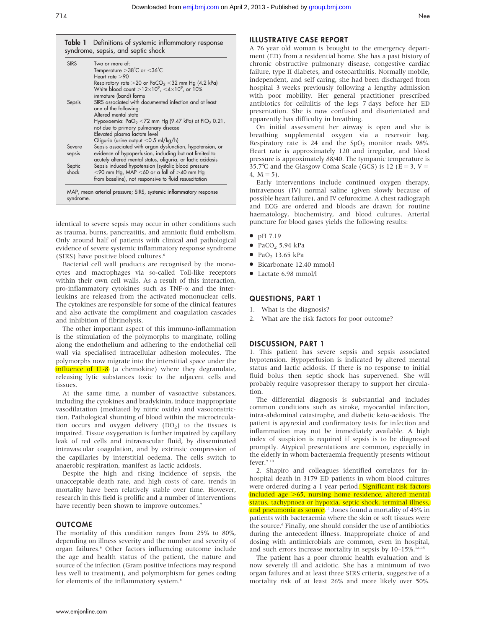**Table 1** Definitions of systemic inflammatory response syndrome, sepsis, and septic shock SIRS Two or more of: Temperature  $>38^{\circ}$ C or  $<$  36 $^{\circ}$ C Heart rate  $>90$ Respiratory rate  $>$  20 or PaCO<sub>2</sub> < 32 mm Hg (4.2 kPa) White blood count  $>$  12 $\times$ 10<sup>9</sup>, <4 $\times$ 10<sup>9</sup>, or 10% immature (band) forms Sepsis SIRS associated with documented infection and at least one of the following: Altered mental state Hypoxaemia:  $PaO<sub>2</sub> < 72$  mm Hg (9.47 kPa) at  $FiO<sub>2</sub> 0.21$ , not due to primary pulmonary disease Elevated plasma lactate level Oliguria (urine output <0.5 ml/kg/h) Severe Sepsis associated with organ dysfunction, hypotension, or sepsis evidence of hypoperfusion, including but not limited to acutely altered mental status, oliguria, or lactic acidosis Septic Sepsis induced hypotension (systolic blood pressure<br>shock  $\leq 90$  mm Ha. MAP  $\leq 60$  or a fall of  $> 40$  mm Ha  $<$ 90 mm Hg, MAP  $<$ 60 or a fall of  $>$ 40 mm Hg from baseline), not responsive to fluid resuscitation MAP, mean arterial pressure; SIRS, systemic inflammatory response syndrome.

identical to severe sepsis may occur in other conditions such as trauma, burns, pancreatitis, and amniotic fluid embolism. Only around half of patients with clinical and pathological evidence of severe systemic inflammatory response syndrome (SIRS) have positive blood cultures.<sup>6</sup>

Bacterial cell wall products are recognised by the monocytes and macrophages via so-called Toll-like receptors within their own cell walls. As a result of this interaction, pro-inflammatory cytokines such as  $TNF-\alpha$  and the interleukins are released from the activated mononuclear cells. The cytokines are responsible for some of the clinical features and also activate the compliment and coagulation cascades and inhibition of fibrinolysis.

The other important aspect of this immuno-inflammation is the stimulation of the polymorphs to marginate, rolling along the endothelium and adhering to the endothelial cell wall via specialised intracellular adhesion molecules. The polymorphs now migrate into the interstitial space under the influence of IL-8 (a chemokine) where they degranulate, releasing lytic substances toxic to the adjacent cells and tissues.

At the same time, a number of vasoactive substances, including the cytokines and bradykinin, induce inappropriate vasodilatation (mediated by nitric oxide) and vasoconstriction. Pathological shunting of blood within the microcirculation occurs and oxygen delivery  $(DO<sub>2</sub>)$  to the tissues is impaired. Tissue oxygenation is further impaired by capillary leak of red cells and intravascular fluid, by disseminated intravascular coagulation, and by extrinsic compression of the capillaries by interstitial oedema. The cells switch to anaerobic respiration, manifest as lactic acidosis.

Despite the high and rising incidence of sepsis, the unacceptable death rate, and high costs of care, trends in mortality have been relatively stable over time. However, research in this field is prolific and a number of interventions have recently been shown to improve outcomes.<sup>7</sup>

#### **OUTCOME**

The mortality of this condition ranges from 25% to 80%, depending on illness severity and the number and severity of organ failures.6 Other factors influencing outcome include the age and health status of the patient, the nature and source of the infection (Gram positive infections may respond less well to treatment), and polymorphism for genes coding for elements of the inflammatory system.<sup>8</sup>

#### ILLUSTRATIVE CASE REPORT

A 76 year old woman is brought to the emergency department (ED) from a residential home. She has a past history of chronic obstructive pulmonary disease, congestive cardiac failure, type II diabetes, and osteoarthritis. Normally mobile, independent, and self caring, she had been discharged from hospital 3 weeks previously following a lengthy admission with poor mobility. Her general practitioner prescribed antibiotics for cellulitis of the legs 7 days before her ED presentation. She is now confused and disorientated and apparently has difficulty in breathing.

On initial assessment her airway is open and she is breathing supplemental oxygen via a reservoir bag. Respiratory rate is 24 and the  $SpO<sub>2</sub>$  monitor reads 98%. Heart rate is approximately 120 and irregular, and blood pressure is approximately 88/40. The tympanic temperature is 35.7℃ and the Glasgow Coma Scale (GCS) is 12 ( $E = 3$ ,  $V =$ 4,  $M = 5$ ).

Early interventions include continued oxygen therapy, intravenous (IV) normal saline (given slowly because of possible heart failure), and IV cefuroxime. A chest radiograph and ECG are ordered and bloods are drawn for routine haematology, biochemistry, and blood cultures. Arterial puncture for blood gases yields the following results:

- $\bullet$  pH 7.19
- $\bullet$  PaCO<sub>2</sub> 5.94 kPa
- $\bullet$  PaO<sub>2</sub> 13.65 kPa
- $\bullet$  Bicarbonate 12.40 mmol/l
- $\bullet$  Lactate 6.98 mmol/l

#### QUESTIONS, PART 1

- 1. What is the diagnosis?
- 2. What are the risk factors for poor outcome?

#### DISCUSSION, PART 1

1. This patient has severe sepsis and sepsis associated hypotension. Hypoperfusion is indicated by altered mental status and lactic acidosis. If there is no response to initial fluid bolus then septic shock has supervened. She will probably require vasopressor therapy to support her circulation.

The differential diagnosis is substantial and includes common conditions such as stroke, myocardial infarction, intra-abdominal catastrophe, and diabetic keto-acidosis. The patient is apyrexial and confirmatory tests for infection and inflammation may not be immediately available. A high index of suspicion is required if sepsis is to be diagnosed promptly. Atypical presentations are common, especially in the elderly in whom bacteraemia frequently presents without fever.<sup>9 10</sup>

2. Shapiro and colleagues identified correlates for inhospital death in 3179 ED patients in whom blood cultures were ordered during a 1 year period. Significant risk factors included age  $>65$ , nursing home residence, altered mental status, tachypnoea or hypoxia, septic shock, terminal illness, and pneumonia as source.<sup>11</sup> Jones found a mortality of  $45\%$  in patients with bacteraemia where the skin or soft tissues were the source.<sup>6</sup> Finally, one should consider the use of antibiotics during the antecedent illness. Inappropriate choice of and dosing with antimicrobials are common, even in hospital, and such errors increase mortality in sepsis by  $10-15\%$ .<sup>12-15</sup>

The patient has a poor chronic health evaluation and is now severely ill and acidotic. She has a minimum of two organ failures and at least three SIRS criteria, suggestive of a mortality risk of at least 26% and more likely over 50%.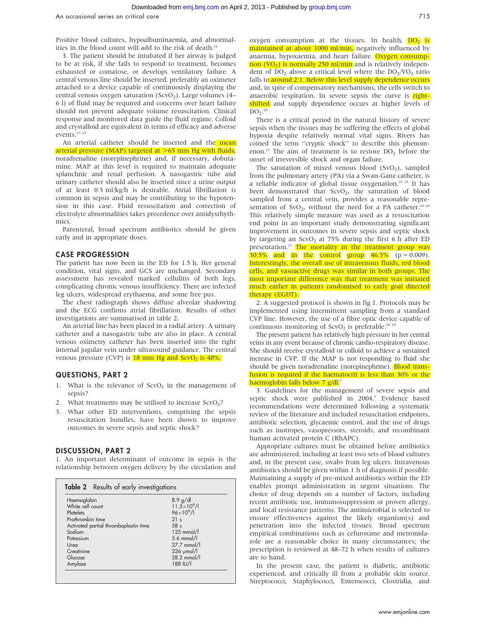Positive blood cultures, hypoalbuminaemia, and abnormalities in the blood count will add to the risk of death.<sup>16</sup>

3. The patient should be intubated if her airway is judged to be at risk, if she fails to respond to treatment, becomes exhausted or comatose, or develops ventilatory failure. A central venous line should be inserted, preferably an oximeter attached to a device capable of continuously displaying the central venous oxygen saturation (ScvO<sub>2</sub>). Large volumes (4– 6 l) of fluid may be required and concerns over heart failure should not prevent adequate volume resuscitation. Clinical response and monitored data guide the fluid regime. Colloid and crystalloid are equivalent in terms of efficacy and adverse events.17–19

An arterial catheter should be inserted and the mean arterial pressure (MAP) targeted at  $>65$  mm Hg with fluids, noradrenaline (norepinephrine) and, if necessary, dobutamine. MAP at this level is required to maintain adequate splanchnic and renal perfusion. A nasogastric tube and urinary catheter should also be inserted since a urine output of at least 0.5 ml/kg/h is desirable. Atrial fibrillation is common in sepsis and may be contributing to the hypotension in this case. Fluid resuscitation and correction of electrolyte abnormalities takes precedence over antidysrhythmics.

Parenteral, broad spectrum antibiotics should be given early and in appropriate doses.

#### CASE PROGRESSION

The patient has now been in the ED for 1.5 h. Her general condition, vital signs, and GCS are unchanged. Secondary assessment has revealed marked cellulitis of both legs, complicating chronic venous insufficiency. There are infected leg ulcers, widespread erythaema, and some free pus.

The chest radiograph shows diffuse alveolar shadowing and the ECG confirms atrial fibrillation. Results of other investigations are summarised in table 2.

An arterial line has been placed in a radial artery. A urinary catheter and a nasogastric tube are also in place. A central venous oximetry catheter has been inserted into the right internal jugular vein under ultrasound guidance. The central venous pressure (CVP) is  $18 \text{ mm Hg}$  and  $\text{ScvO}_2$  is 48%.

#### QUESTIONS, PART 2

- 1. What is the relevance of  $ScvO<sub>2</sub>$  in the management of sepsis?
- 2. What treatments may be utilised to increase  $ScvO<sub>2</sub>$ ?
- 3. What other ED interventions, comprising the sepsis resuscitation bundles, have been shown to improve outcomes in severe sepsis and septic shock?

#### DISCUSSION, PART 2

1. An important determinant of outcome in sepsis is the relationship between oxygen delivery by the circulation and

| Haemoglobin                           | $8.9$ g/dl              |
|---------------------------------------|-------------------------|
| White cell count                      | $11.5 \times 10^{9}$ /l |
| Platelets                             | $96 \times 10^{9}$ /l   |
| Prothrombin time                      | 21 <sub>s</sub>         |
| Activated partial thromboplastin time | 58 <sub>s</sub>         |
| Sodium                                | $125$ mmol/l            |
| Potassium                             | $5.6$ mmol/l            |
| Urea                                  | 27.7 mmol/l             |
| Creatinine                            | $226 \mu$ mol/l         |
| Glucose                               | 28.2 mmol/l             |
| Amylase                               | 188 IU/I                |

oxygen consumption at the tissues. In health,  $\overline{DO_2}$  is maintained at about 1000 ml/min, negatively influenced by anaemia, hypoxaemia, and heart failure. Oxygen consumption  $(VO_2)$  is normally 250 ml/min and is relatively independent of  $DO<sub>2</sub>$  above a critical level where the  $DO<sub>2</sub>/VO<sub>2</sub>$  ratio falls to around 2:1. Below this level supply dependence occurs and, in spite of compensatory mechanisms, the cells switch to anaerobic respiration. In severe sepsis the curve is rightshifted and supply dependence occurs at higher levels of  $DO<sub>2</sub>$ <sup>20</sup>

There is a critical period in the natural history of severe sepsis when the tissues may be suffering the effects of global hypoxia despite relatively normal vital signs. Rivers has coined the term ''cryptic shock'' to describe this phenomenon.<sup>21</sup> The aim of treatment is to restore  $DO<sub>2</sub>$  before the onset of irreversible shock and organ failure.

The saturation of mixed venous blood  $(SvO<sub>2</sub>)$ , sampled from the pulmonary artery (PA) via a Swan-Ganz catheter, is a reliable indicator of global tissue oxygenation.<sup>22 23</sup> It has been demonstrated that  $ScvO<sub>2</sub>$ , the saturation of blood sampled from a central vein, provides a reasonable representation of SvO<sub>2</sub>, without the need for a PA catheter.<sup>24-26</sup> This relatively simple measure was used as a resuscitation end point in an important study demonstrating significant improvement in outcomes in severe sepsis and septic shock by targeting an ScvO<sub>2</sub> at  $75\%$  during the first 6 h after ED presentation.<sup>27</sup> The mortality in the treatment group was  $\overline{30.5\%}$  and in the control group  $\overline{46.5\%}$  (p = 0.009). Interestingly, the overall use of intravenous fluids, red blood cells, and vasoactive drugs was similar in both groups. The most important difference was that treatment was initiated much earlier in patients randomised to early goal directed therapy (EGDT).

2. A suggested protocol is shown in fig 1. Protocols may be implemented using intermittent sampling from a standard CVP line. However, the use of a fibre optic device capable of continuous monitoring of  $S$ cvO<sub>2</sub> is preferable.<sup>28 29</sup>

The present patient has relatively high pressure in her central veins in any event because of chronic cardio-respiratory disease. She should receive crystalloid or colloid to achieve a sustained increase in CVP. If the MAP is not responding to fluid she should be given noradrenaline (norepinephrine). Blood transfusion is required if the haematocrit is less than 30% or the haemoglobin falls below 7 g/dl.<sup>7</sup>

3. Guidelines for the management of severe sepsis and septic shock were published in 2004.<sup>7</sup> Evidence based recommendations were determined following a systematic review of the literature and included resuscitation endpoints, antibiotic selection, glycaemic control, and the use of drugs such as inotropes, vasopressors, steroids, and recombinant human activated protein C (RhAPC).

Appropriate cultures must be obtained before antibiotics are administered, including at least two sets of blood cultures and, in the present case, swabs from leg ulcers. Intravenous antibiotics should be given within 1 h of diagnosis if possible. Maintaining a supply of pre-mixed antibiotics within the ED enables prompt administration in urgent situations. The choice of drug depends on a number of factors, including recent antibiotic use, immunosuppression or proven allergy, and local resistance patterns. The antimicrobial is selected to ensure effectiveness against the likely organism(s) and penetration into the infected tissues. Broad spectrum empirical combinations such as cefuroxime and metronidazole are a reasonable choice in many circumstances; the prescription is reviewed at 48–72 h when results of cultures are to hand.

In the present case, the patient is diabetic, antibiotic experienced, and critically ill from a probable skin source. Streptococci, Staphylococci, Enterococci, Clostridia, and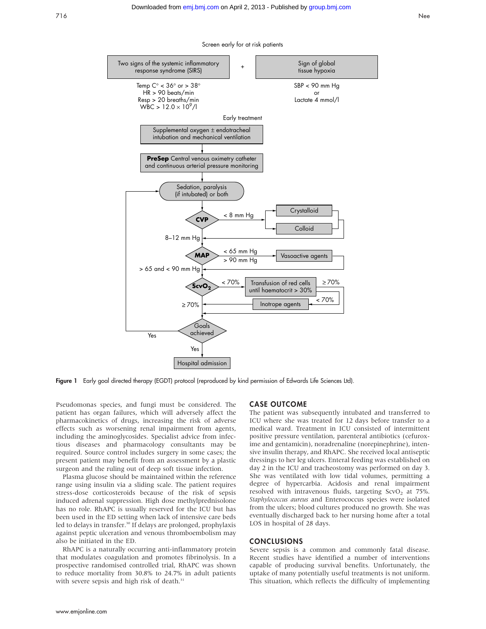

Figure 1 Early goal directed therapy (EGDT) protocol (reproduced by kind permission of Edwards Life Sciences Ltd).

Pseudomonas species, and fungi must be considered. The patient has organ failures, which will adversely affect the pharmacokinetics of drugs, increasing the risk of adverse effects such as worsening renal impairment from agents, including the aminoglycosides. Specialist advice from infectious diseases and pharmacology consultants may be required. Source control includes surgery in some cases; the present patient may benefit from an assessment by a plastic surgeon and the ruling out of deep soft tissue infection.

Plasma glucose should be maintained within the reference range using insulin via a sliding scale. The patient requires stress-dose corticosteroids because of the risk of sepsis induced adrenal suppression. High dose methylprednisolone has no role. RhAPC is usually reserved for the ICU but has been used in the ED setting when lack of intensive care beds led to delays in transfer.<sup>30</sup> If delays are prolonged, prophylaxis against peptic ulceration and venous thromboembolism may also be initiated in the ED.

RhAPC is a naturally occurring anti-inflammatory protein that modulates coagulation and promotes fibrinolysis. In a prospective randomised controlled trial, RhAPC was shown to reduce mortality from 30.8% to 24.7% in adult patients with severe sepsis and high risk of death.<sup>31</sup>

#### CASE OUTCOME

The patient was subsequently intubated and transferred to ICU where she was treated for 12 days before transfer to a medical ward. Treatment in ICU consisted of intermittent positive pressure ventilation, parenteral antibiotics (cefuroxime and gentamicin), noradrenaline (norepinephrine), intensive insulin therapy, and RhAPC. She received local antiseptic dressings to her leg ulcers. Enteral feeding was established on day 2 in the ICU and tracheostomy was performed on day 3. She was ventilated with low tidal volumes, permitting a degree of hypercarbia. Acidosis and renal impairment resolved with intravenous fluids, targeting  $ScvO<sub>2</sub>$  at 75%. Staphylococcus aureus and Enterococcus species were isolated from the ulcers; blood cultures produced no growth. She was eventually discharged back to her nursing home after a total LOS in hospital of 28 days.

#### CONCLUSIONS

Severe sepsis is a common and commonly fatal disease. Recent studies have identified a number of interventions capable of producing survival benefits. Unfortunately, the uptake of many potentially useful treatments is not uniform. This situation, which reflects the difficulty of implementing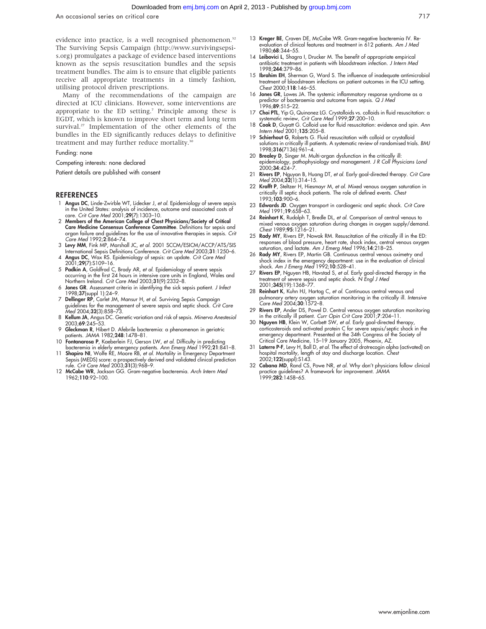An occasional series on critical care 717

evidence into practice, is a well recognised phenomenon.<sup>32</sup> The Surviving Sepsis Campaign (http://www.survivingsepsis.org) promulgates a package of evidence based interventions known as the sepsis resuscitation bundles and the sepsis treatment bundles. The aim is to ensure that eligible patients receive all appropriate treatments in a timely fashion, utilising protocol driven prescriptions.

Many of the recommendations of the campaign are directed at ICU clinicians. However, some interventions are appropriate to the ED setting.7 Principle among these is EGDT, which is known to improve short term and long term survival.<sup>27</sup> Implementation of the other elements of the bundles in the ED significantly reduces delays to definitive treatment and may further reduce mortality.<sup>3</sup>

#### Funding: none

Competing interests: none declared

Patient details are published with consent

#### **REFERENCES**

- 1 Angus DC, Linde-Zwirble WT, Lidecker J, et al. Epidemiology of severe sepsis in the United States: analysis of incidence, outcome and associated costs of care. Crit Care Med 2001;29(7):1303–10.
- 2 Members of the American College of Chest Physicians/Society of Critical Care Medicine Consensus Conference Committee. Definitions for sepsis and organ failure and guidelines for the use of innovative therapies in sepsis. Crit Care Med 1992;2:864–74.
- 3 Levy MM, Fink MP, Marshall JC, et al. 2001 SCCM/ESICM/ACCP/ATS/SIS International Sepsis Definitions Conference. Crit Care Med 2003;31:1250–6.
- 4 Angus DC, Wax RS. Epidemiology of sepsis: an update. Crit Care Med
- 2001;29(7):S109–16. 5 Padkin A, Goldfrad C, Brady AR, et al. Epidemiology of severe sepsis occurring in the first 24 hours in intensive care units in England, Wales and Northern Ireland. Crit Care Med 2003;31(9):2332–8.
- 6 Jones GR. Assessment criteria in identifying the sick sepsis patient. J Infect 1998;37(suppl 1):24-9.
- 7 Dellinger RP, Carlet JM, Mansur H, et al. Surviving Sepsis Campaign guidelines for the management of severe sepsis and septic shock. Crit Care Med 2004;32(3):858-73.
- 8 Kellum JA, Angus DC. Genetic variation and risk of sepsis. Minerva Anestesiol 2003;69:245–53.
- 9 Gleckman R, Hibert D. Afebrile bacteremia: a phenomenon in geriatric patients. JAMA 1982;248:1478–81.
- 10 Fontanarosa P, Kaeberlein FJ, Gerson LW, et al. Difficulty in predicting
- acteremia in elderly emergency patients. Ann Emerg Med 1992;21:841–8. 11 Shapiro NI, Wolfe RE, Moore RB, et al. Mortality in Emergency Department Sepsis (MEDS) score: a prospectively derived and validated clinical prediction rule. Crit Care Med 2003;31(3):968–9.
- 12 McCabe WR, Jackson GG. Gram-negative bacteremia. Arch Intern Med 1962;110:92–100.
- 13 Kreger BE, Craven DE, McCabe WR. Gram-negative bacteremia IV. Re-evaluation of clinical features and treatment in 612 patients. Am J Med 1980;68:344–55.
- 14 Leibovici L, Shagra I, Drucker M. The benefit of appropriate empirical antibiotic treatment in patients with bloodstream infection. J Intern Med 1998;244:379–86.
- 15 **Ibrahim EH**, Sherman G, Ward S. The influence of inadequate antimicrobial treatment of bloodstream infections on patient outcomes in the ICU setting. Chest 2000;118:146–55.
- 16 Jones GR, Lowes JA. The systemic inflammatory response syndrome as a predictor of bacteraemia and outcome from sepsis. Q J Med 1996;89:515-22.
- 17 Choi PTL, Yip G, Quinonez LG. Crystalloids vs. colloids in fluid resuscitation: a
- systematic review, *Crit Care Med* 1999;27:200–10.<br>18 Cook D, Guyatt G. Colloid use for fluid resuscitation: evidence and spin. Ann Intern Med 2001;135:205–8.
- 19 Schierhout G, Roberts G. Fluid resuscitation with colloid or crystalloid solutions in critically ill patients. A systematic review of randomised trials. BMJ 1998;316(7136):961–4.
- 20 Brealey D, Singer M. Multi-organ dysfunction in the critically ill: epidemiology, pathophysiology and management. J R Coll Physicians Lond<br>2000;**34**:424–7.
- 21 Rivers EP, Nguyan B, Huang DT, et al. Early goal-directed therapy. Crit Care Med 2004;32(1):314-15.
- 22 Krafft P, Steltzer H, Hiesmayr M, et al. Mixed venous oxygen saturation in critically ill septic shock patients. The role of defined events. Chest 1993;103:900–6.
- 23 Edwards JD. Oxygen transport in cardiogenic and septic shock. Crit Care Med 1991;19:658–63.
- 24 Reinhart K, Rudolph T, Bredle DL, et al. Comparison of central venous to mixed venous oxygen saturation during changes in oxygen supply/demand. Chest 1989;95:1216–21.
- 25 Rady MY, Rivers EP, Nowak RM. Resuscitation of the critically ill in the ED: responses of blood pressure, heart rate, shock index, central venous oxygen saturation, and lactate. Am J Emerg Med 1996;14:218–25.
- 26 Rady MY, Rivers EP, Martin GB. Continuous central venous oximetry and shock index in the emergency department: use in the evaluation of clinical shock. Am J Emerg Med 1992;10:528–41.
- 27 **Rivers EP**, Nguyen HB, Havstad S, *et al.* Early goal-directed therapy in the treatment of severe sepsis and septic shock. N Engl J Med 2001;345(19):1368–77.
- 28 Reinhart K, Kuhn HJ, Hartog C, et al. Continuous central venous and pulmonary artery oxygen saturation monitoring in the critically ill. Intensive Care Med 2004;30:1572–8.
- 29 Rivers EP, Ander DS, Powel D. Central venous oxygen saturation monitoring in the critically ill patient. Curr Opin Crit Care 2001;7:204–11.
- 30 Nguyen HB, Klein W, Corbett SW, et al. Early goal-directed therapy corticosteroids and activated protein C for severe sepsis/septic shock in the emergency department. Presented at the 34th Congress of the Society of Critical Care Medicine, 15–19 January 2005, Phoenix, AZ.
- 31 Laterre P-F, Levy H, Ball D, et al. The effect of drotrecogin alpha (activated) on hospital mortality, length of stay and discharge location. Chest 2002;122(suppl):S143.
- 32 Cabana MD, Rand CS, Powe NR, et al. Why don't physicians follow clinical practice guidelines? A framework for improvement. JAMA 1999;282:1458–65.